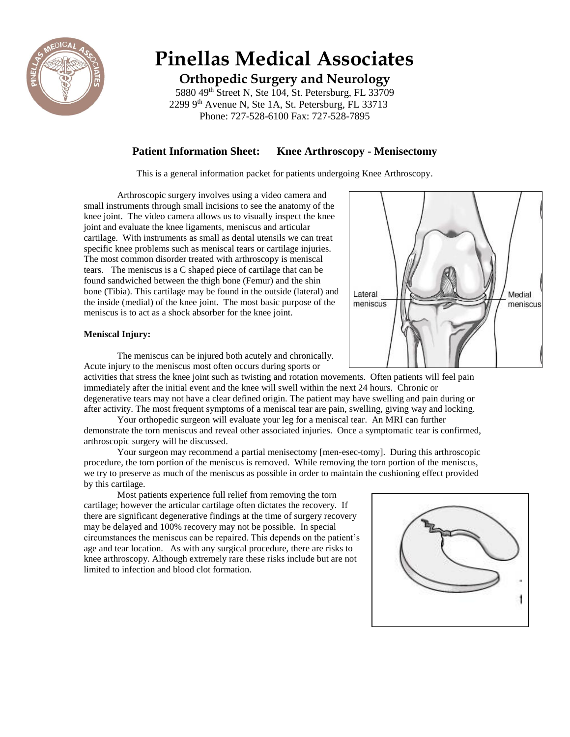

# **Pinellas Medical Associates**

**Orthopedic Surgery and Neurology**

5880 49<sup>th</sup> Street N, Ste 104, St. Petersburg, FL 33709 2299 9<sup>th</sup> Avenue N, Ste 1A, St. Petersburg, FL 33713 Phone: 727-528-6100 Fax: 727-528-7895

# **Patient Information Sheet: Knee Arthroscopy - Menisectomy**

This is a general information packet for patients undergoing Knee Arthroscopy.

Arthroscopic surgery involves using a video camera and small instruments through small incisions to see the anatomy of the knee joint. The video camera allows us to visually inspect the knee joint and evaluate the knee ligaments, meniscus and articular cartilage. With instruments as small as dental utensils we can treat specific knee problems such as meniscal tears or cartilage injuries. The most common disorder treated with arthroscopy is meniscal tears. The meniscus is a C shaped piece of cartilage that can be found sandwiched between the thigh bone (Femur) and the shin bone (Tibia). This cartilage may be found in the outside (lateral) and the inside (medial) of the knee joint. The most basic purpose of the meniscus is to act as a shock absorber for the knee joint.



## **Meniscal Injury:**

The meniscus can be injured both acutely and chronically. Acute injury to the meniscus most often occurs during sports or

activities that stress the knee joint such as twisting and rotation movements. Often patients will feel pain immediately after the initial event and the knee will swell within the next 24 hours. Chronic or degenerative tears may not have a clear defined origin. The patient may have swelling and pain during or after activity. The most frequent symptoms of a meniscal tear are pain, swelling, giving way and locking.

Your orthopedic surgeon will evaluate your leg for a meniscal tear. An MRI can further demonstrate the torn meniscus and reveal other associated injuries. Once a symptomatic tear is confirmed, arthroscopic surgery will be discussed.

Your surgeon may recommend a partial menisectomy [men-esec-tomy]. During this arthroscopic procedure, the torn portion of the meniscus is removed. While removing the torn portion of the meniscus, we try to preserve as much of the meniscus as possible in order to maintain the cushioning effect provided by this cartilage.

Most patients experience full relief from removing the torn cartilage; however the articular cartilage often dictates the recovery. If there are significant degenerative findings at the time of surgery recovery may be delayed and 100% recovery may not be possible. In special circumstances the meniscus can be repaired. This depends on the patient's age and tear location. As with any surgical procedure, there are risks to knee arthroscopy. Although extremely rare these risks include but are not limited to infection and blood clot formation.

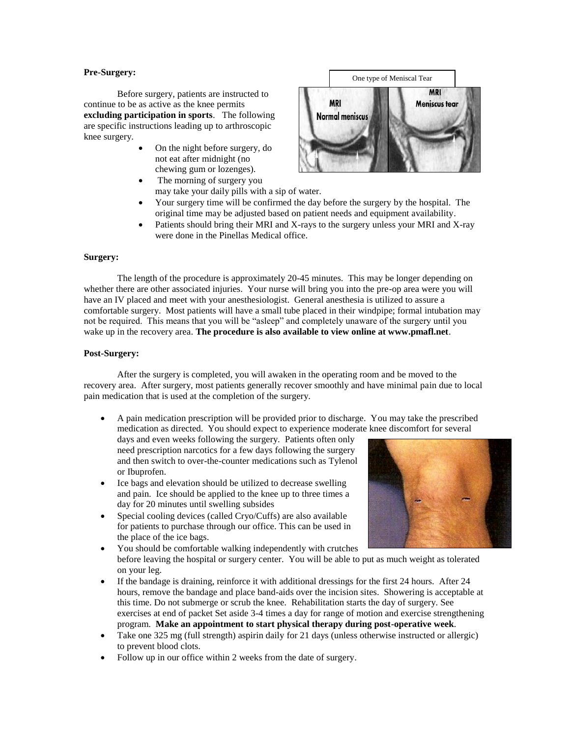## **Pre-Surgery:**

Before surgery, patients are instructed to continue to be as active as the knee permits **excluding participation in sports**. The following are specific instructions leading up to arthroscopic knee surgery.

- On the night before surgery, do not eat after midnight (no chewing gum or lozenges).
	- The morning of surgery you may take your daily pills with a sip of water.



- Your surgery time will be confirmed the day before the surgery by the hospital. The original time may be adjusted based on patient needs and equipment availability.
- Patients should bring their MRI and X-rays to the surgery unless your MRI and X-ray were done in the Pinellas Medical office.

#### **Surgery:**

The length of the procedure is approximately 20-45 minutes. This may be longer depending on whether there are other associated injuries. Your nurse will bring you into the pre-op area were you will have an IV placed and meet with your anesthesiologist. General anesthesia is utilized to assure a comfortable surgery. Most patients will have a small tube placed in their windpipe; formal intubation may not be required. This means that you will be "asleep" and completely unaware of the surgery until you wake up in the recovery area. **The procedure is also available to view online at www.pmafl.net**.

#### **Post-Surgery:**

After the surgery is completed, you will awaken in the operating room and be moved to the recovery area. After surgery, most patients generally recover smoothly and have minimal pain due to local pain medication that is used at the completion of the surgery.

 A pain medication prescription will be provided prior to discharge. You may take the prescribed medication as directed. You should expect to experience moderate knee discomfort for several

days and even weeks following the surgery. Patients often only need prescription narcotics for a few days following the surgery and then switch to over-the-counter medications such as Tylenol or Ibuprofen.

- Ice bags and elevation should be utilized to decrease swelling and pain. Ice should be applied to the knee up to three times a day for 20 minutes until swelling subsides
- Special cooling devices (called Cryo/Cuffs) are also available for patients to purchase through our office. This can be used in the place of the ice bags.
- You should be comfortable walking independently with crutches before leaving the hospital or surgery center. You will be able to put as much weight as tolerated
- on your leg. If the bandage is draining, reinforce it with additional dressings for the first 24 hours. After 24 hours, remove the bandage and place band-aids over the incision sites. Showering is acceptable at this time. Do not submerge or scrub the knee. Rehabilitation starts the day of surgery. See exercises at end of packet Set aside 3-4 times a day for range of motion and exercise strengthening program. **Make an appointment to start physical therapy during post-operative week**.
- Take one 325 mg (full strength) aspirin daily for 21 days (unless otherwise instructed or allergic) to prevent blood clots.
- Follow up in our office within 2 weeks from the date of surgery.

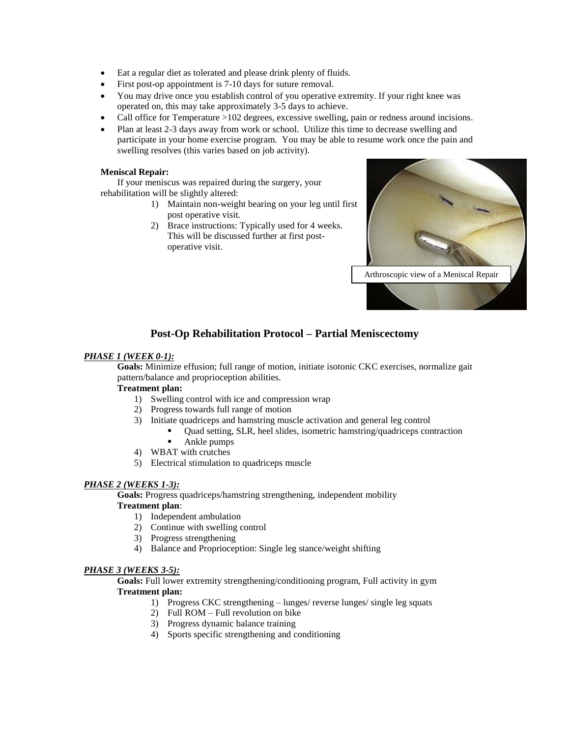- Eat a regular diet as tolerated and please drink plenty of fluids.
- First post-op appointment is 7-10 days for suture removal.
- You may drive once you establish control of you operative extremity. If your right knee was operated on, this may take approximately 3-5 days to achieve.
- Call office for Temperature >102 degrees, excessive swelling, pain or redness around incisions.
- Plan at least 2-3 days away from work or school. Utilize this time to decrease swelling and participate in your home exercise program. You may be able to resume work once the pain and swelling resolves (this varies based on job activity).

## **Meniscal Repair:**

If your meniscus was repaired during the surgery, your rehabilitation will be slightly altered:

- 1) Maintain non-weight bearing on your leg until first post operative visit.
- 2) Brace instructions: Typically used for 4 weeks. This will be discussed further at first postoperative visit.



## **Post-Op Rehabilitation Protocol – Partial Meniscectomy**

## *PHASE 1 (WEEK 0-1):*

**Goals:** Minimize effusion; full range of motion, initiate isotonic CKC exercises, normalize gait pattern/balance and proprioception abilities.

## **Treatment plan:**

- 1) Swelling control with ice and compression wrap
- 2) Progress towards full range of motion
- 3) Initiate quadriceps and hamstring muscle activation and general leg control
	- Quad setting, SLR, heel slides, isometric hamstring/quadriceps contraction
	- Ankle pumps
- 4) WBAT with crutches
- 5) Electrical stimulation to quadriceps muscle

## *PHASE 2 (WEEKS 1-3):*

**Goals:** Progress quadriceps/hamstring strengthening, independent mobility **Treatment plan**:

- 1) Independent ambulation
- 2) Continue with swelling control
- 3) Progress strengthening
- 4) Balance and Proprioception: Single leg stance/weight shifting

#### *PHASE 3 (WEEKS 3-5):*

**Goals:** Full lower extremity strengthening/conditioning program, Full activity in gym **Treatment plan:**

- 1) Progress CKC strengthening lunges/ reverse lunges/ single leg squats
- 2) Full ROM Full revolution on bike
- 3) Progress dynamic balance training
- 4) Sports specific strengthening and conditioning